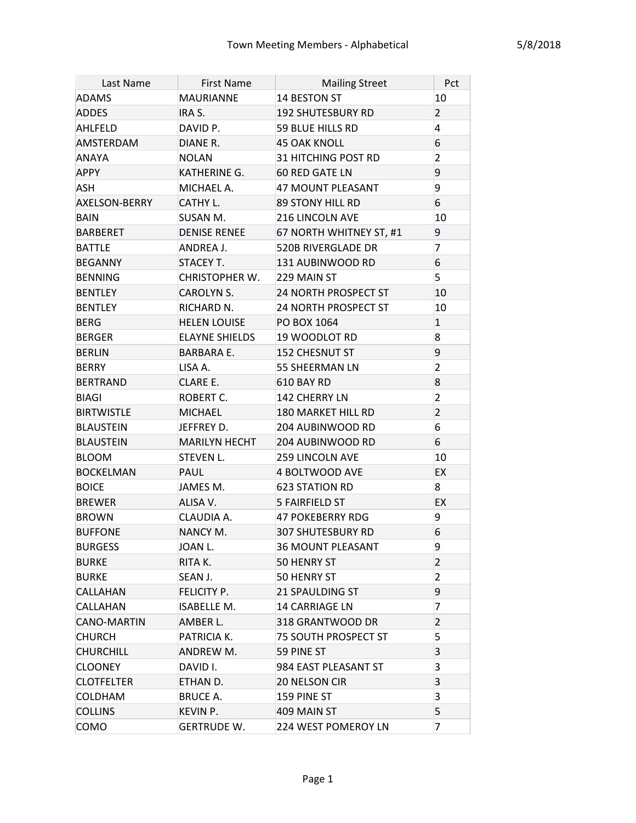| Last Name          | <b>First Name</b>     | <b>Mailing Street</b>       | Pct            |
|--------------------|-----------------------|-----------------------------|----------------|
| ADAMS              | <b>MAURIANNE</b>      | 14 BESTON ST                | 10             |
| <b>ADDES</b>       | IRA S.                | <b>192 SHUTESBURY RD</b>    | $\overline{2}$ |
| AHLFELD            | DAVID P.              | <b>59 BLUE HILLS RD</b>     | 4              |
| AMSTERDAM          | DIANE R.              | <b>45 OAK KNOLL</b>         | 6              |
| ANAYA              | <b>NOLAN</b>          | 31 HITCHING POST RD         | $\overline{2}$ |
| <b>APPY</b>        | KATHERINE G.          | <b>60 RED GATE LN</b>       | 9              |
| ASH                | MICHAEL A.            | 47 MOUNT PLEASANT           | 9              |
| AXELSON-BERRY      | CATHY L.              | <b>89 STONY HILL RD</b>     | 6              |
| <b>BAIN</b>        | SUSAN M.              | <b>216 LINCOLN AVE</b>      | 10             |
| <b>BARBERET</b>    | <b>DENISE RENEE</b>   | 67 NORTH WHITNEY ST, #1     | 9              |
| BATTLE             | ANDREA J.             | <b>520B RIVERGLADE DR</b>   | 7              |
| <b>BEGANNY</b>     | STACEY T.             | 131 AUBINWOOD RD            | 6              |
| <b>BENNING</b>     | <b>CHRISTOPHER W.</b> | 229 MAIN ST                 | 5              |
| <b>BENTLEY</b>     | CAROLYN S.            | 24 NORTH PROSPECT ST        | 10             |
| <b>BENTLEY</b>     | RICHARD N.            | 24 NORTH PROSPECT ST        | 10             |
| <b>BERG</b>        | <b>HELEN LOUISE</b>   | PO BOX 1064                 | $\mathbf{1}$   |
| <b>BERGER</b>      | <b>ELAYNE SHIELDS</b> | <b>19 WOODLOT RD</b>        | 8              |
| <b>BERLIN</b>      | <b>BARBARA E.</b>     | 152 CHESNUT ST              | 9              |
| <b>BERRY</b>       | LISA A.               | 55 SHEERMAN LN              | $\overline{2}$ |
| <b>BERTRAND</b>    | CLARE E.              | 610 BAY RD                  | 8              |
| <b>BIAGI</b>       | ROBERT C.             | 142 CHERRY LN               | $\overline{2}$ |
| <b>BIRTWISTLE</b>  | <b>MICHAEL</b>        | <b>180 MARKET HILL RD</b>   | $\overline{2}$ |
| BLAUSTEIN          | JEFFREY D.            | 204 AUBINWOOD RD            | 6              |
| <b>BLAUSTEIN</b>   | <b>MARILYN HECHT</b>  | 204 AUBINWOOD RD            | 6              |
| <b>BLOOM</b>       | STEVEN L.             | <b>259 LINCOLN AVE</b>      | 10             |
| <b>BOCKELMAN</b>   | PAUL                  | 4 BOLTWOOD AVE              | EX             |
| <b>BOICE</b>       | JAMES M.              | 623 STATION RD              | 8              |
| <b>BREWER</b>      | ALISA V.              | <b>5 FAIRFIELD ST</b>       | EX             |
| <b>BROWN</b>       | CLAUDIA A.            | 47 POKEBERRY RDG            | 9              |
| <b>BUFFONE</b>     | NANCY M.              | <b>307 SHUTESBURY RD</b>    | 6              |
| <b>BURGESS</b>     | JOAN L.               | <b>36 MOUNT PLEASANT</b>    | 9              |
| <b>BURKE</b>       | RITA K.               | <b>50 HENRY ST</b>          | 2              |
| BURKE              | SEAN J.               | 50 HENRY ST                 | $\overline{2}$ |
| <b>CALLAHAN</b>    | FELICITY P.           | 21 SPAULDING ST             | 9              |
| <b>CALLAHAN</b>    | <b>ISABELLE M.</b>    | <b>14 CARRIAGE LN</b>       | 7              |
| <b>CANO-MARTIN</b> | AMBER L.              | 318 GRANTWOOD DR            | $\overline{2}$ |
| CHURCH             | PATRICIA K.           | <b>75 SOUTH PROSPECT ST</b> | 5              |
| <b>CHURCHILL</b>   | ANDREW M.             | 59 PINE ST                  | 3              |
| <b>CLOONEY</b>     | DAVID I.              | 984 EAST PLEASANT ST        | 3              |
| <b>CLOTFELTER</b>  | ETHAN D.              | 20 NELSON CIR               | 3              |
| COLDHAM            | BRUCE A.              | 159 PINE ST                 | 3              |
| <b>COLLINS</b>     | KEVIN P.              | 409 MAIN ST                 | 5              |
| <b>COMO</b>        | GERTRUDE W.           | 224 WEST POMEROY LN         | 7              |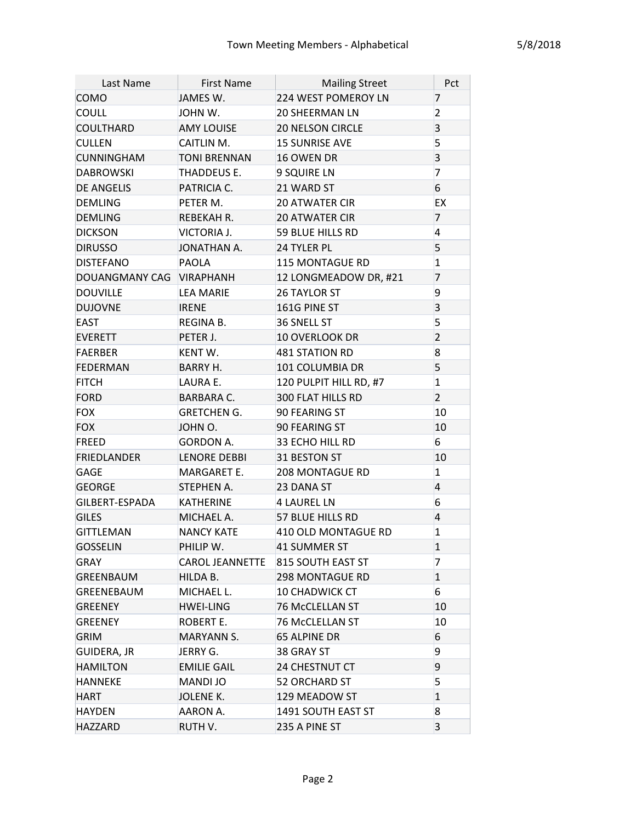| Last Name                | <b>First Name</b>                     |                                              | Pct                     |
|--------------------------|---------------------------------------|----------------------------------------------|-------------------------|
| <b>COMO</b>              | JAMES W.                              | <b>Mailing Street</b><br>224 WEST POMEROY LN | $\overline{7}$          |
| <b>COULL</b>             | JOHN W.                               | <b>20 SHEERMAN LN</b>                        | $\overline{2}$          |
| <b>COULTHARD</b>         | <b>AMY LOUISE</b>                     | <b>20 NELSON CIRCLE</b>                      | $\overline{\mathbf{3}}$ |
| <b>CULLEN</b>            | CAITLIN M.                            | <b>15 SUNRISE AVE</b>                        | 5                       |
| <b>CUNNINGHAM</b>        | <b>TONI BRENNAN</b>                   | 16 OWEN DR                                   | 3                       |
| DABROWSKI                | THADDEUS E.                           | <b>9 SQUIRE LN</b>                           | $\overline{7}$          |
| <b>DE ANGELIS</b>        | PATRICIA C.                           | 21 WARD ST                                   | 6                       |
| <b>DEMLING</b>           | PETER M.                              | <b>20 ATWATER CIR</b>                        | EX                      |
| DEMLING                  | REBEKAH R.                            | <b>20 ATWATER CIR</b>                        | $\overline{7}$          |
| <b>DICKSON</b>           | <b>VICTORIA J.</b>                    | 59 BLUE HILLS RD                             | $\overline{a}$          |
| <b>DIRUSSO</b>           | JONATHAN A.                           | 24 TYLER PL                                  | 5                       |
| <b>DISTEFANO</b>         | <b>PAOLA</b>                          | <b>115 MONTAGUE RD</b>                       | $\overline{1}$          |
| DOUANGMANY CAG VIRAPHANH |                                       | 12 LONGMEADOW DR, #21                        | $\overline{7}$          |
| <b>DOUVILLE</b>          | <b>LEA MARIE</b>                      | <b>26 TAYLOR ST</b>                          | 9                       |
| <b>DUJOVNE</b>           | <b>IRENE</b>                          | 161G PINE ST                                 | 3                       |
| <b>EAST</b>              | <b>REGINA B.</b>                      | 36 SNELL ST                                  | 5                       |
| <b>EVERETT</b>           | PETER J.                              | 10 OVERLOOK DR                               | $\overline{2}$          |
| FAERBER                  | KENT W.                               | <b>481 STATION RD</b>                        | 8                       |
| <b>FEDERMAN</b>          | <b>BARRY H.</b>                       | 101 COLUMBIA DR                              | 5                       |
| <b>FITCH</b>             | LAURA E.                              | 120 PULPIT HILL RD, #7                       | $\mathbf{1}$            |
| FORD                     | <b>BARBARA C.</b>                     | <b>300 FLAT HILLS RD</b>                     | $\overline{2}$          |
| FOX                      | <b>GRETCHEN G.</b>                    | 90 FEARING ST                                | 10                      |
| <b>FOX</b>               | JOHN O.                               | 90 FEARING ST                                | 10                      |
| FREED                    | <b>GORDON A.</b>                      | 33 ECHO HILL RD                              | 6                       |
| FRIEDLANDER              | LENORE DEBBI                          | 31 BESTON ST                                 | 10                      |
| <b>GAGE</b>              | MARGARET E.                           | <b>208 MONTAGUE RD</b>                       | $\mathbf{1}$            |
| <b>GEORGE</b>            | STEPHEN A.                            | 23 DANA ST                                   | $\overline{4}$          |
| GILBERT-ESPADA           | <b>KATHERINE</b>                      | <b>4 LAUREL LN</b>                           | 6                       |
| <b>GILES</b>             | MICHAEL A.                            | 57 BLUE HILLS RD                             | $\overline{4}$          |
| <b>GITTLEMAN</b>         | <b>NANCY KATE</b>                     | 410 OLD MONTAGUE RD                          | $\mathbf{1}$            |
| <b>GOSSELIN</b>          | PHILIP W.                             | 41 SUMMER ST                                 | $\mathbf{1}$            |
| GRAY                     | <b>CAROL JEANNETTE</b>                | 815 SOUTH EAST ST                            | 7                       |
| GREENBAUM                | HILDA B.                              | <b>298 MONTAGUE RD</b>                       | $\mathbf{1}$            |
| <b>GREENEBAUM</b>        | MICHAEL L.                            | <b>10 CHADWICK CT</b>                        | 6                       |
| <b>GREENEY</b>           | <b>HWEI-LING</b>                      | <b>76 McCLELLAN ST</b>                       | 10                      |
| GREENEY                  | ROBERT E.                             | 76 McCLELLAN ST                              | 10                      |
| <b>GRIM</b>              | MARYANN S.                            | 65 ALPINE DR                                 | 6                       |
| GUIDERA, JR              | JERRY G.                              | 38 GRAY ST                                   | 9                       |
| <b>HAMILTON</b>          |                                       |                                              |                         |
| HANNEKE                  | <b>EMILIE GAIL</b><br><b>MANDI JO</b> | 24 CHESTNUT CT<br>52 ORCHARD ST              | 9<br>5                  |
|                          | <b>JOLENE K.</b>                      | 129 MEADOW ST                                | $\mathbf{1}$            |
| HART                     |                                       |                                              |                         |
| HAYDEN                   | AARON A.                              | 1491 SOUTH EAST ST                           | 8                       |
| <b>HAZZARD</b>           | RUTH V.                               | 235 A PINE ST                                | $\overline{3}$          |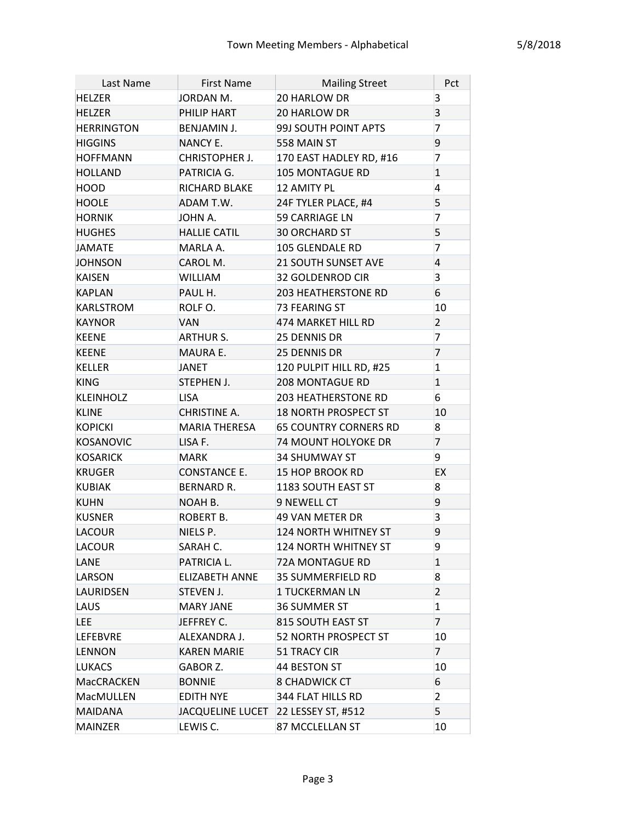| Last Name         | <b>First Name</b>       | <b>Mailing Street</b>        | Pct            |
|-------------------|-------------------------|------------------------------|----------------|
| HELZER            | JORDAN M.               | 20 HARLOW DR                 | 3              |
| <b>HELZER</b>     | PHILIP HART             | <b>20 HARLOW DR</b>          | 3              |
| <b>HERRINGTON</b> | <b>BENJAMIN J.</b>      | 99J SOUTH POINT APTS         | 7              |
| <b>HIGGINS</b>    | NANCY E.                | 558 MAIN ST                  | 9              |
| <b>HOFFMANN</b>   | CHRISTOPHER J.          | 170 EAST HADLEY RD, #16      | $\overline{7}$ |
| <b>HOLLAND</b>    | PATRICIA G.             | <b>105 MONTAGUE RD</b>       | $\mathbf{1}$   |
| <b>HOOD</b>       | RICHARD BLAKE           | <b>12 AMITY PL</b>           | 4              |
| <b>HOOLE</b>      | ADAM T.W.               | 24F TYLER PLACE, #4          | 5              |
| <b>HORNIK</b>     | JOHN A.                 | <b>59 CARRIAGE LN</b>        | 7              |
| <b>HUGHES</b>     | <b>HALLIE CATIL</b>     | <b>30 ORCHARD ST</b>         | 5              |
| JAMATE            | MARLA A.                | 105 GLENDALE RD              | 7              |
| <b>JOHNSON</b>    | CAROL M.                | <b>21 SOUTH SUNSET AVE</b>   | 4              |
| KAISEN            | <b>WILLIAM</b>          | 32 GOLDENROD CIR             | 3              |
| KAPLAN            | PAUL H.                 | <b>203 HEATHERSTONE RD</b>   | 6              |
| <b>KARLSTROM</b>  | ROLF O.                 | 73 FEARING ST                | 10             |
| <b>KAYNOR</b>     | VAN                     | 474 MARKET HILL RD           | $\overline{2}$ |
| <b>KEENE</b>      | <b>ARTHUR S.</b>        | 25 DENNIS DR                 | 7              |
| <b>KEENE</b>      | MAURA E.                | 25 DENNIS DR                 | $\overline{7}$ |
| KELLER            | JANET                   | 120 PULPIT HILL RD, #25      | 1              |
| <b>KING</b>       | STEPHEN J.              | <b>208 MONTAGUE RD</b>       | $\mathbf{1}$   |
| KLEINHOLZ         | LISA.                   | <b>203 HEATHERSTONE RD</b>   | 6              |
| <b>KLINE</b>      | CHRISTINE A.            | <b>18 NORTH PROSPECT ST</b>  | 10             |
| KOPICKI           | <b>MARIA THERESA</b>    | <b>65 COUNTRY CORNERS RD</b> | 8              |
| KOSANOVIC         | LISA F.                 | <b>74 MOUNT HOLYOKE DR</b>   | $\overline{7}$ |
| <b>KOSARICK</b>   | <b>MARK</b>             | 34 SHUMWAY ST                | 9              |
| <b>KRUGER</b>     | <b>CONSTANCE E.</b>     | <b>15 HOP BROOK RD</b>       | EX             |
| KUBIAK            | <b>BERNARD R.</b>       | 1183 SOUTH EAST ST           | 8              |
| <b>KUHN</b>       | NOAH B.                 | 9 NEWELL CT                  | 9              |
| <b>KUSNER</b>     | ROBERT B.               | 49 VAN METER DR              | 3              |
| <b>LACOUR</b>     | NIELS P.                | <b>124 NORTH WHITNEY ST</b>  | 9              |
| LACOUR            | SARAH C.                | 124 NORTH WHITNEY ST         | 9              |
| LANE              | PATRICIA L.             | 72A MONTAGUE RD              | 1              |
| LARSON            | <b>ELIZABETH ANNE</b>   | <b>35 SUMMERFIELD RD</b>     | 8              |
| LAURIDSEN         | STEVEN J.               | <b>1 TUCKERMAN LN</b>        | $\overline{2}$ |
| LAUS              | <b>MARY JANE</b>        | 36 SUMMER ST                 | 1              |
| LEE.              | JEFFREY C.              | 815 SOUTH EAST ST            | 7              |
| <b>LEFEBVRE</b>   | ALEXANDRA J.            | <b>52 NORTH PROSPECT ST</b>  | 10             |
| LENNON            | <b>KAREN MARIE</b>      | 51 TRACY CIR                 | $\overline{7}$ |
| <b>LUKACS</b>     | GABOR Z.                | 44 BESTON ST                 | 10             |
| MacCRACKEN        | <b>BONNIE</b>           | <b>8 CHADWICK CT</b>         | 6              |
| MacMULLEN         | <b>EDITH NYE</b>        | 344 FLAT HILLS RD            | $\overline{2}$ |
| MAIDANA           | <b>JACQUELINE LUCET</b> | 22 LESSEY ST, #512           | 5              |
| <b>MAINZER</b>    | LEWIS C.                | 87 MCCLELLAN ST              | 10             |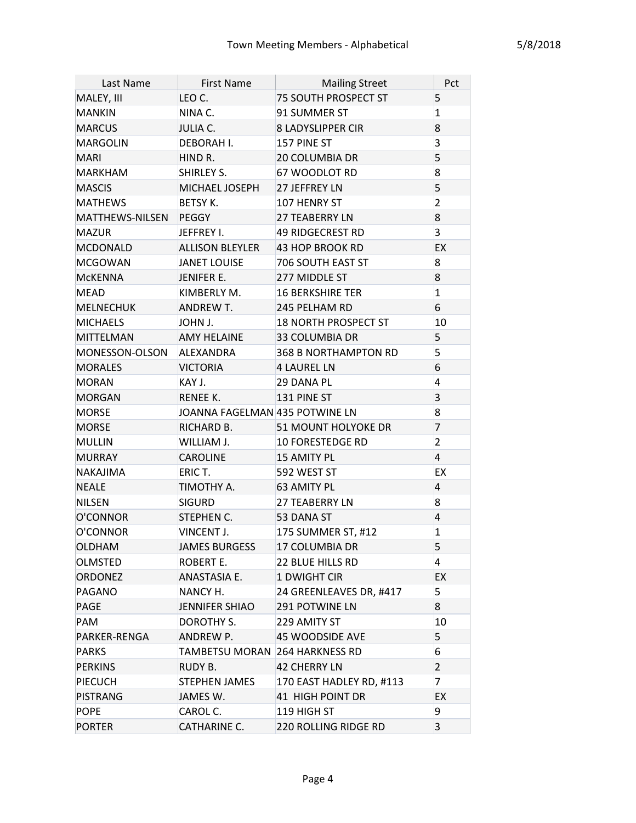| Last Name        | <b>First Name</b>               | <b>Mailing Street</b>       | Pct                     |
|------------------|---------------------------------|-----------------------------|-------------------------|
| MALEY, III       | LEO C.                          | <b>75 SOUTH PROSPECT ST</b> | 5                       |
| MANKIN           | NINA C.                         | 91 SUMMER ST                | $\mathbf{1}$            |
| <b>MARCUS</b>    | JULIA C.                        | <b>8 LADYSLIPPER CIR</b>    | 8                       |
| MARGOLIN         | DEBORAH I.                      | 157 PINE ST                 | 3                       |
| <b>MARI</b>      | HIND R.                         | <b>20 COLUMBIA DR</b>       | 5                       |
| MARKHAM          | SHIRLEY S.                      | 67 WOODLOT RD               | 8                       |
| <b>MASCIS</b>    | MICHAEL JOSEPH                  | 27 JEFFREY LN               | 5                       |
| <b>MATHEWS</b>   | <b>BETSY K.</b>                 | 107 HENRY ST                | $\overline{2}$          |
| MATTHEWS-NILSEN  | PEGGY                           | <b>27 TEABERRY LN</b>       | 8                       |
| MAZUR            | JEFFREY I.                      | 49 RIDGECREST RD            | $\overline{3}$          |
| <b>MCDONALD</b>  | <b>ALLISON BLEYLER</b>          | 43 HOP BROOK RD             | EX                      |
| <b>MCGOWAN</b>   | <b>JANET LOUISE</b>             | 706 SOUTH EAST ST           | 8                       |
| <b>MCKENNA</b>   | JENIFER E.                      | 277 MIDDLE ST               | 8                       |
| MEAD             | KIMBERLY M.                     | <b>16 BERKSHIRE TER</b>     | $\mathbf{1}$            |
| <b>MELNECHUK</b> | <b>ANDREW T.</b>                | 245 PELHAM RD               | 6                       |
| <b>MICHAELS</b>  | JOHN J.                         | <b>18 NORTH PROSPECT ST</b> | 10                      |
| <b>MITTELMAN</b> | <b>AMY HELAINE</b>              | <b>33 COLUMBIA DR</b>       | 5                       |
| MONESSON-OLSON   | ALEXANDRA                       | 368 B NORTHAMPTON RD        | 5                       |
| <b>MORALES</b>   | <b>VICTORIA</b>                 | <b>4 LAUREL LN</b>          | 6                       |
| MORAN            | KAY J.                          | 29 DANA PL                  | $\overline{4}$          |
| <b>MORGAN</b>    | RENEE K.                        | 131 PINE ST                 | $\overline{\mathbf{3}}$ |
| <b>MORSE</b>     | JOANNA FAGELMAN 435 POTWINE LN  |                             | 8                       |
| <b>MORSE</b>     | RICHARD B.                      | 51 MOUNT HOLYOKE DR         | $\overline{7}$          |
| MULLIN           | WILLIAM J.                      | <b>10 FORESTEDGE RD</b>     | 2                       |
| <b>MURRAY</b>    | <b>CAROLINE</b>                 | <b>15 AMITY PL</b>          | $\overline{4}$          |
| NAKAJIMA         | ERIC T.                         | 592 WEST ST                 | EX                      |
| <b>NEALE</b>     | TIMOTHY A.                      | <b>63 AMITY PL</b>          | $\overline{4}$          |
| NILSEN           | <b>SIGURD</b>                   | <b>27 TEABERRY LN</b>       | 8                       |
| O'CONNOR         | STEPHEN C.                      | 53 DANA ST                  | $\overline{4}$          |
| O'CONNOR         | <b>VINCENT J.</b>               | 175 SUMMER ST, #12          | $\mathbf{1}$            |
| OLDHAM           | <b>JAMES BURGESS</b>            | 17 COLUMBIA DR              | 5                       |
| OLMSTED          | ROBERT E.                       | 22 BLUE HILLS RD            | $\overline{4}$          |
| <b>ORDONEZ</b>   | ANASTASIA E.                    | 1 DWIGHT CIR                | EX                      |
| PAGANO           | NANCY H.                        | 24 GREENLEAVES DR, #417     | 5                       |
| PAGE             | <b>JENNIFER SHIAO</b>           | 291 POTWINE LN              | 8                       |
| PAM              | DOROTHY S.                      | 229 AMITY ST                | 10                      |
| PARKER-RENGA     | ANDREW P.                       | 45 WOODSIDE AVE             | 5                       |
| PARKS            | TAMBETSU MORAN  264 HARKNESS RD |                             | 6                       |
| <b>PERKINS</b>   | RUDY B.                         | <b>42 CHERRY LN</b>         | $\overline{2}$          |
| <b>PIECUCH</b>   | <b>STEPHEN JAMES</b>            | 170 EAST HADLEY RD, #113    | 7                       |
| PISTRANG         | JAMES W.                        | 41 HIGH POINT DR            | EX                      |
| <b>POPE</b>      | CAROL C.                        | 119 HIGH ST                 | 9                       |
| <b>PORTER</b>    | <b>CATHARINE C.</b>             | 220 ROLLING RIDGE RD        | $\overline{3}$          |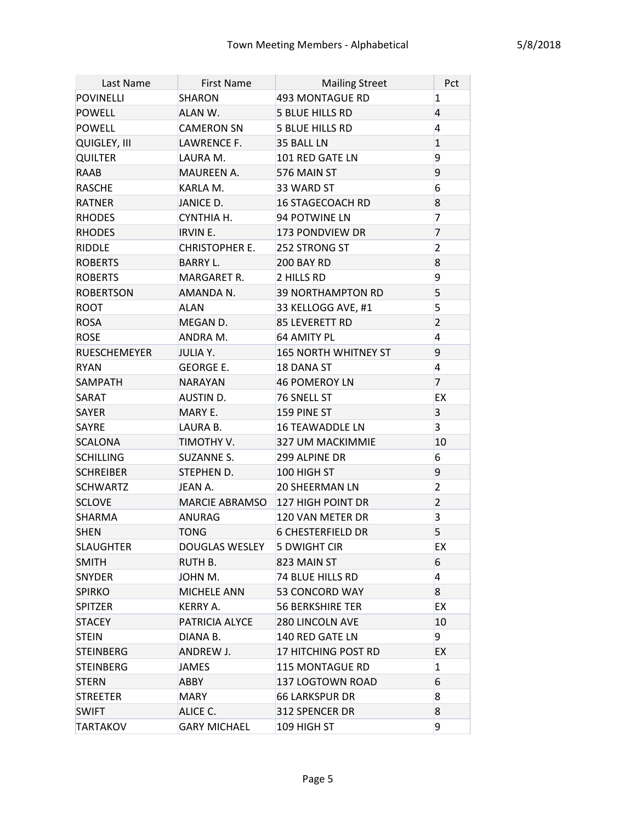| Last Name           | <b>First Name</b>     | <b>Mailing Street</b>       | Pct            |
|---------------------|-----------------------|-----------------------------|----------------|
| POVINELLI           | SHARON                | 493 MONTAGUE RD             | 1              |
| <b>POWELL</b>       | ALAN W.               | 5 BLUE HILLS RD             | 4              |
| POWELL              | <b>CAMERON SN</b>     | <b>5 BLUE HILLS RD</b>      | 4              |
| QUIGLEY, III        | LAWRENCE F.           | 35 BALL LN                  | $\mathbf 1$    |
| <b>QUILTER</b>      | LAURA M.              | 101 RED GATE LN             | 9              |
| RAAB                | MAUREEN A.            | 576 MAIN ST                 | 9              |
| RASCHE              | KARLA M.              | 33 WARD ST                  | 6              |
| <b>RATNER</b>       | JANICE D.             | <b>16 STAGECOACH RD</b>     | 8              |
| <b>RHODES</b>       | CYNTHIA H.            | 94 POTWINE LN               | 7              |
| <b>RHODES</b>       | <b>IRVIN E.</b>       | 173 PONDVIEW DR             | 7              |
| RIDDLE              | <b>CHRISTOPHER E.</b> | 252 STRONG ST               | $\overline{2}$ |
| <b>ROBERTS</b>      | <b>BARRY L.</b>       | 200 BAY RD                  | 8              |
| <b>ROBERTS</b>      | <b>MARGARET R.</b>    | 2 HILLS RD                  | 9              |
| <b>ROBERTSON</b>    | AMANDA N.             | <b>39 NORTHAMPTON RD</b>    | 5              |
| ROOT                | <b>ALAN</b>           | 33 KELLOGG AVE, #1          | 5              |
| <b>ROSA</b>         | MEGAN D.              | <b>85 LEVERETT RD</b>       | $\overline{2}$ |
| <b>ROSE</b>         | ANDRA M.              | 64 AMITY PL                 | 4              |
| <b>RUESCHEMEYER</b> | <b>JULIA Y.</b>       | <b>165 NORTH WHITNEY ST</b> | 9              |
| <b>RYAN</b>         | <b>GEORGE E.</b>      | <b>18 DANA ST</b>           | 4              |
| <b>SAMPATH</b>      | <b>NARAYAN</b>        | <b>46 POMEROY LN</b>        | $\overline{7}$ |
| SARAT               | AUSTIN D.             | 76 SNELL ST                 | EX             |
| <b>SAYER</b>        | MARY E.               | 159 PINE ST                 | 3              |
| <b>SAYRE</b>        | LAURA B.              | <b>16 TEAWADDLE LN</b>      | 3              |
| SCALONA             | TIMOTHY V.            | 327 UM MACKIMMIE            | 10             |
| <b>SCHILLING</b>    | <b>SUZANNE S.</b>     | 299 ALPINE DR               | 6              |
| <b>SCHREIBER</b>    | STEPHEN D.            | 100 HIGH ST                 | 9              |
| <b>SCHWARTZ</b>     | JEAN A.               | <b>20 SHEERMAN LN</b>       | 2              |
| <b>SCLOVE</b>       | <b>MARCIE ABRAMSO</b> | 127 HIGH POINT DR           | $\overline{2}$ |
| SHARMA              | <b>ANURAG</b>         | 120 VAN METER DR            | 3              |
| <b>SHEN</b>         | <b>TONG</b>           | <b>6 CHESTERFIELD DR</b>    | 5              |
| SLAUGHTER           | DOUGLAS WESLEY        | 5 DWIGHT CIR                | EX.            |
| SMITH               | RUTH B.               | 823 MAIN ST                 | 6              |
| SNYDER              | JOHN M.               | 74 BLUE HILLS RD            | 4              |
| <b>SPIRKO</b>       | MICHELE ANN           | 53 CONCORD WAY              | 8              |
| <b>SPITZER</b>      | KERRY A.              | <b>56 BERKSHIRE TER</b>     | EX             |
| STACEY              | PATRICIA ALYCE        | 280 LINCOLN AVE             | 10             |
| STEIN               | DIANA B.              | 140 RED GATE LN             | 9              |
| STEINBERG           | <b>ANDREW J.</b>      | 17 HITCHING POST RD         | EX.            |
| <b>STEINBERG</b>    | JAMES                 | <b>115 MONTAGUE RD</b>      | 1              |
| <b>STERN</b>        | ABBY                  | 137 LOGTOWN ROAD            | 6              |
| <b>STREETER</b>     | MARY                  | <b>66 LARKSPUR DR</b>       | 8              |
| <b>SWIFT</b>        | ALICE C.              | 312 SPENCER DR              | 8              |
| <b>TARTAKOV</b>     | <b>GARY MICHAEL</b>   | 109 HIGH ST                 | 9              |